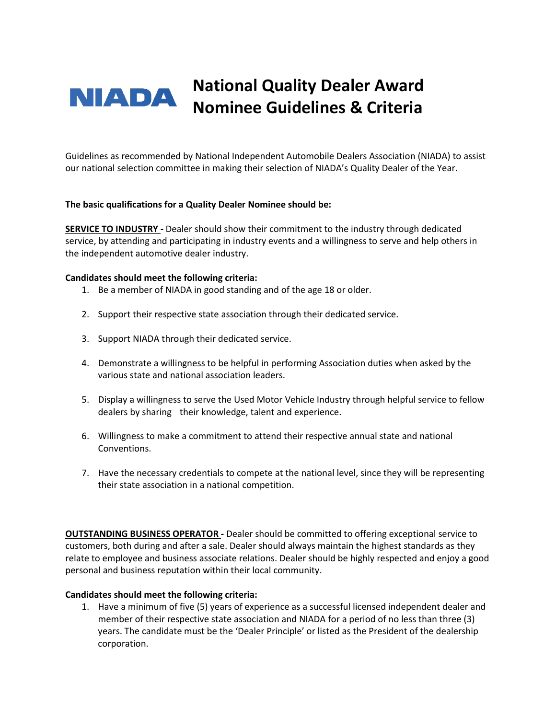# **National Quality Dealer Award NIADA Nominee Guidelines & Criteria**

Guidelines as recommended by National Independent Automobile Dealers Association (NIADA) to assist our national selection committee in making their selection of NIADA's Quality Dealer of the Year.

#### **The basic qualifications for a Quality Dealer Nominee should be:**

**SERVICE TO INDUSTRY -** Dealer should show their commitment to the industry through dedicated service, by attending and participating in industry events and a willingness to serve and help others in the independent automotive dealer industry.

#### **Candidates should meet the following criteria:**

- 1. Be a member of NIADA in good standing and of the age 18 or older.
- 2. Support their respective state association through their dedicated service.
- 3. Support NIADA through their dedicated service.
- 4. Demonstrate a willingness to be helpful in performing Association duties when asked by the various state and national association leaders.
- 5. Display a willingness to serve the Used Motor Vehicle Industry through helpful service to fellow dealers by sharing their knowledge, talent and experience.
- 6. Willingness to make a commitment to attend their respective annual state and national Conventions.
- 7. Have the necessary credentials to compete at the national level, since they will be representing their state association in a national competition.

**OUTSTANDING BUSINESS OPERATOR -** Dealer should be committed to offering exceptional service to customers, both during and after a sale. Dealer should always maintain the highest standards as they relate to employee and business associate relations. Dealer should be highly respected and enjoy a good personal and business reputation within their local community.

## **Candidates should meet the following criteria:**

1. Have a minimum of five (5) years of experience as a successful licensed independent dealer and member of their respective state association and NIADA for a period of no less than three (3) years. The candidate must be the 'Dealer Principle' or listed as the President of the dealership corporation.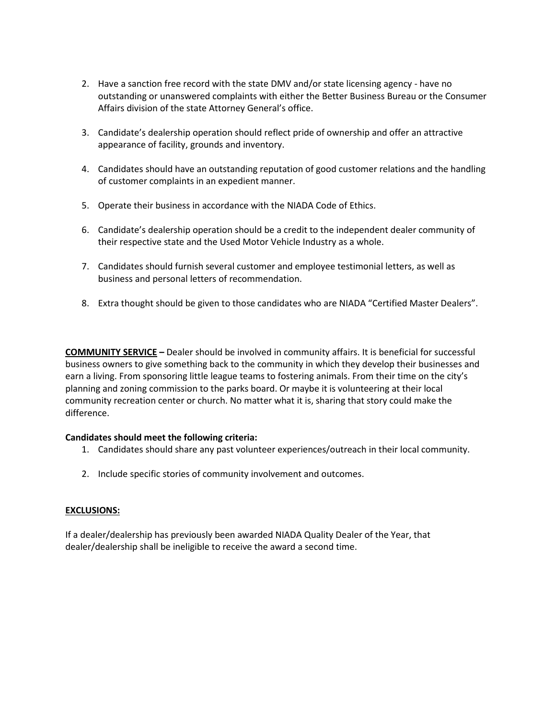- 2. Have a sanction free record with the state DMV and/or state licensing agency have no outstanding or unanswered complaints with either the Better Business Bureau or the Consumer Affairs division of the state Attorney General's office.
- 3. Candidate's dealership operation should reflect pride of ownership and offer an attractive appearance of facility, grounds and inventory.
- 4. Candidates should have an outstanding reputation of good customer relations and the handling of customer complaints in an expedient manner.
- 5. Operate their business in accordance with the NIADA Code of Ethics.
- 6. Candidate's dealership operation should be a credit to the independent dealer community of their respective state and the Used Motor Vehicle Industry as a whole.
- 7. Candidates should furnish several customer and employee testimonial letters, as well as business and personal letters of recommendation.
- 8. Extra thought should be given to those candidates who are NIADA "Certified Master Dealers".

**COMMUNITY SERVICE –** Dealer should be involved in community affairs. It is beneficial for successful business owners to give something back to the community in which they develop their businesses and earn a living. From sponsoring little league teams to fostering animals. From their time on the city's planning and zoning commission to the parks board. Or maybe it is volunteering at their local community recreation center or church. No matter what it is, sharing that story could make the difference.

## **Candidates should meet the following criteria:**

- 1. Candidates should share any past volunteer experiences/outreach in their local community.
- 2. Include specific stories of community involvement and outcomes.

## **EXCLUSIONS:**

If a dealer/dealership has previously been awarded NIADA Quality Dealer of the Year, that dealer/dealership shall be ineligible to receive the award a second time.